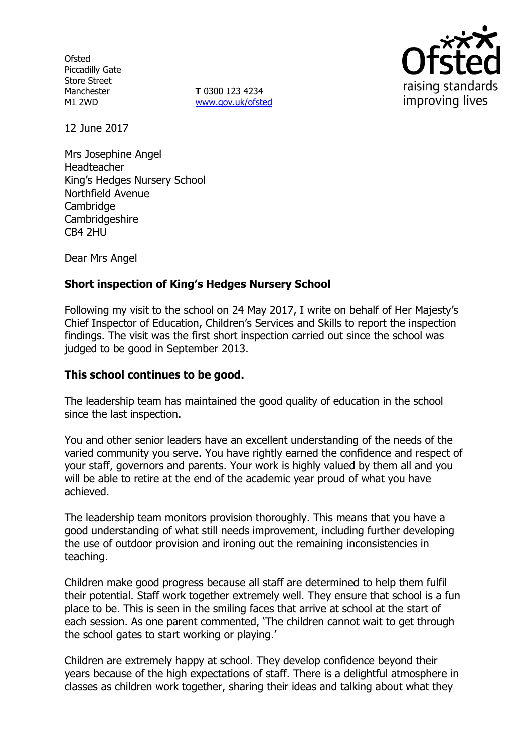**Ofsted** Piccadilly Gate Store Street Manchester M1 2WD

**T** 0300 123 4234 www.gov.uk/ofsted



12 June 2017

Mrs Josephine Angel Headteacher King's Hedges Nursery School Northfield Avenue **Cambridge Cambridgeshire** CB4 2HU

Dear Mrs Angel

# **Short inspection of King's Hedges Nursery School**

Following my visit to the school on 24 May 2017, I write on behalf of Her Majesty's Chief Inspector of Education, Children's Services and Skills to report the inspection findings. The visit was the first short inspection carried out since the school was judged to be good in September 2013.

### **This school continues to be good.**

The leadership team has maintained the good quality of education in the school since the last inspection.

You and other senior leaders have an excellent understanding of the needs of the varied community you serve. You have rightly earned the confidence and respect of your staff, governors and parents. Your work is highly valued by them all and you will be able to retire at the end of the academic year proud of what you have achieved.

The leadership team monitors provision thoroughly. This means that you have a good understanding of what still needs improvement, including further developing the use of outdoor provision and ironing out the remaining inconsistencies in teaching.

Children make good progress because all staff are determined to help them fulfil their potential. Staff work together extremely well. They ensure that school is a fun place to be. This is seen in the smiling faces that arrive at school at the start of each session. As one parent commented, 'The children cannot wait to get through the school gates to start working or playing.'

Children are extremely happy at school. They develop confidence beyond their years because of the high expectations of staff. There is a delightful atmosphere in classes as children work together, sharing their ideas and talking about what they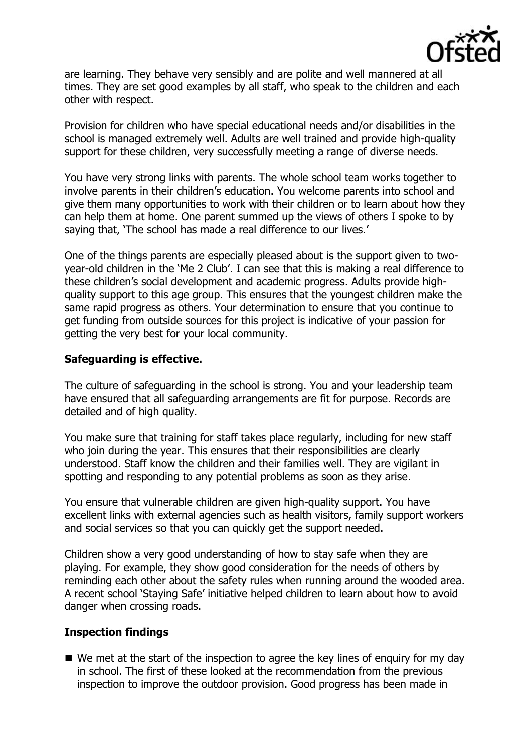

are learning. They behave very sensibly and are polite and well mannered at all times. They are set good examples by all staff, who speak to the children and each other with respect.

Provision for children who have special educational needs and/or disabilities in the school is managed extremely well. Adults are well trained and provide high-quality support for these children, very successfully meeting a range of diverse needs.

You have very strong links with parents. The whole school team works together to involve parents in their children's education. You welcome parents into school and give them many opportunities to work with their children or to learn about how they can help them at home. One parent summed up the views of others I spoke to by saying that, 'The school has made a real difference to our lives.'

One of the things parents are especially pleased about is the support given to twoyear-old children in the 'Me 2 Club'. I can see that this is making a real difference to these children's social development and academic progress. Adults provide highquality support to this age group. This ensures that the youngest children make the same rapid progress as others. Your determination to ensure that you continue to get funding from outside sources for this project is indicative of your passion for getting the very best for your local community.

#### **Safeguarding is effective.**

The culture of safeguarding in the school is strong. You and your leadership team have ensured that all safeguarding arrangements are fit for purpose. Records are detailed and of high quality.

You make sure that training for staff takes place regularly, including for new staff who join during the year. This ensures that their responsibilities are clearly understood. Staff know the children and their families well. They are vigilant in spotting and responding to any potential problems as soon as they arise.

You ensure that vulnerable children are given high-quality support. You have excellent links with external agencies such as health visitors, family support workers and social services so that you can quickly get the support needed.

Children show a very good understanding of how to stay safe when they are playing. For example, they show good consideration for the needs of others by reminding each other about the safety rules when running around the wooded area. A recent school 'Staying Safe' initiative helped children to learn about how to avoid danger when crossing roads.

#### **Inspection findings**

 $\blacksquare$  We met at the start of the inspection to agree the key lines of enguiry for my day in school. The first of these looked at the recommendation from the previous inspection to improve the outdoor provision. Good progress has been made in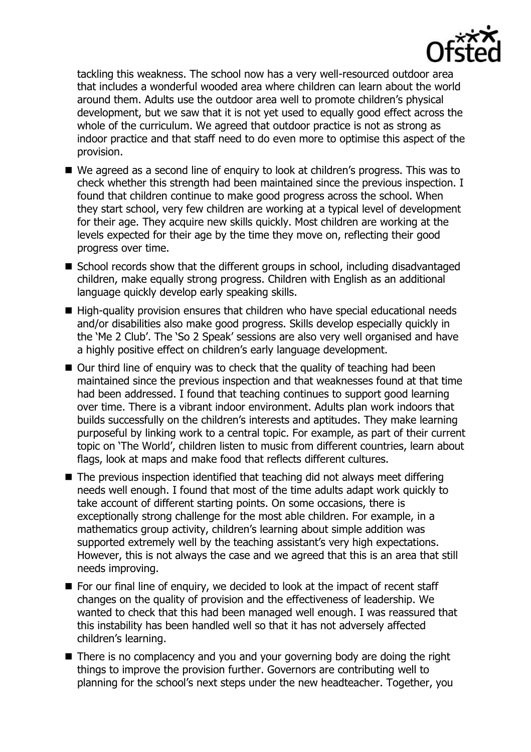

tackling this weakness. The school now has a very well-resourced outdoor area that includes a wonderful wooded area where children can learn about the world around them. Adults use the outdoor area well to promote children's physical development, but we saw that it is not yet used to equally good effect across the whole of the curriculum. We agreed that outdoor practice is not as strong as indoor practice and that staff need to do even more to optimise this aspect of the provision.

- We agreed as a second line of enguiry to look at children's progress. This was to check whether this strength had been maintained since the previous inspection. I found that children continue to make good progress across the school. When they start school, very few children are working at a typical level of development for their age. They acquire new skills quickly. Most children are working at the levels expected for their age by the time they move on, reflecting their good progress over time.
- School records show that the different groups in school, including disadvantaged children, make equally strong progress. Children with English as an additional language quickly develop early speaking skills.
- High-quality provision ensures that children who have special educational needs and/or disabilities also make good progress. Skills develop especially quickly in the 'Me 2 Club'. The 'So 2 Speak' sessions are also very well organised and have a highly positive effect on children's early language development.
- Our third line of enquiry was to check that the quality of teaching had been maintained since the previous inspection and that weaknesses found at that time had been addressed. I found that teaching continues to support good learning over time. There is a vibrant indoor environment. Adults plan work indoors that builds successfully on the children's interests and aptitudes. They make learning purposeful by linking work to a central topic. For example, as part of their current topic on 'The World', children listen to music from different countries, learn about flags, look at maps and make food that reflects different cultures.
- The previous inspection identified that teaching did not always meet differing needs well enough. I found that most of the time adults adapt work quickly to take account of different starting points. On some occasions, there is exceptionally strong challenge for the most able children. For example, in a mathematics group activity, children's learning about simple addition was supported extremely well by the teaching assistant's very high expectations. However, this is not always the case and we agreed that this is an area that still needs improving.
- For our final line of enquiry, we decided to look at the impact of recent staff changes on the quality of provision and the effectiveness of leadership. We wanted to check that this had been managed well enough. I was reassured that this instability has been handled well so that it has not adversely affected children's learning.
- There is no complacency and you and your governing body are doing the right things to improve the provision further. Governors are contributing well to planning for the school's next steps under the new headteacher. Together, you